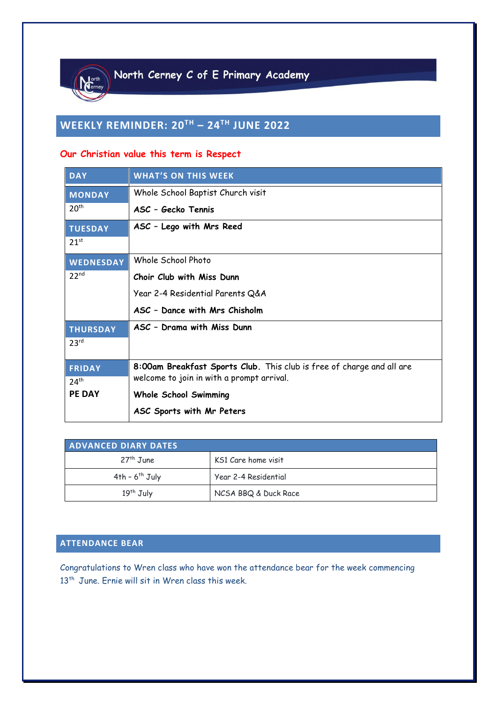

# **WEEKLY REMINDER: 20TH – 24TH JUNE 2022**

# **Our Christian value this term is Respect**

| <b>DAY</b>       | <b>WHAT'S ON THIS WEEK</b>                                            |
|------------------|-----------------------------------------------------------------------|
| <b>MONDAY</b>    | Whole School Baptist Church visit                                     |
| 20 <sup>th</sup> | ASC - Gecko Tennis                                                    |
| <b>TUESDAY</b>   | ASC - Lego with Mrs Reed                                              |
| $21^{st}$        |                                                                       |
| <b>WEDNESDAY</b> | Whole School Photo                                                    |
| 22 <sup>nd</sup> | Choir Club with Miss Dunn                                             |
|                  | Year 2-4 Residential Parents Q&A                                      |
|                  | ASC - Dance with Mrs Chisholm                                         |
| <b>THURSDAY</b>  | ASC - Drama with Miss Dunn                                            |
| 23 <sup>rd</sup> |                                                                       |
| FRIDAY           | 8:00am Breakfast Sports Club. This club is free of charge and all are |
| 24 <sup>th</sup> | welcome to join in with a prompt arrival.                             |
| <b>PE DAY</b>    | <b>Whole School Swimming</b>                                          |
|                  | ASC Sports with Mr Peters                                             |

| <b>ADVANCED DIARY DATES</b> |                      |  |  |  |
|-----------------------------|----------------------|--|--|--|
| $27th$ June                 | KS1 Care home visit  |  |  |  |
| $4th - 6th$ July            | Year 2-4 Residential |  |  |  |
| $19th$ July                 | NCSA BBQ & Duck Race |  |  |  |

# **ATTENDANCE BEAR**

Congratulations to Wren class who have won the attendance bear for the week commencing 13<sup>th</sup> June. Ernie will sit in Wren class this week.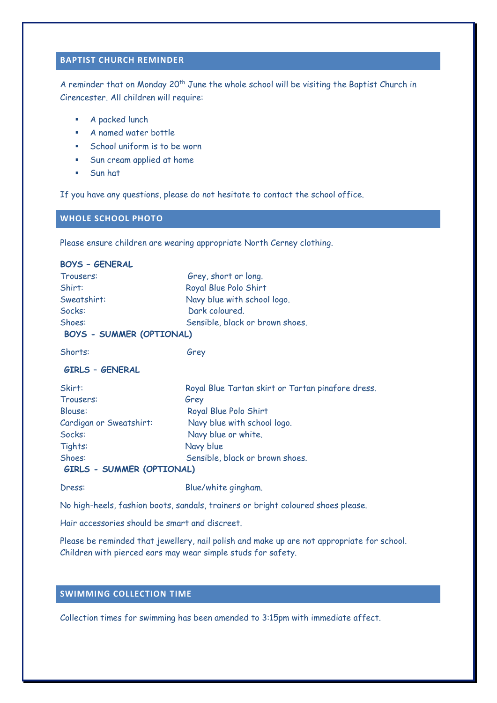## **BAPTIST CHURCH REMINDER**

A reminder that on Monday 20<sup>th</sup> June the whole school will be visiting the Baptist Church in Cirencester. All children will require:

- A packed lunch
- A named water bottle
- School uniform is to be worn
- Sun cream applied at home
- Sun hat

If you have any questions, please do not hesitate to contact the school office.

#### **WHOLE SCHOOL PHOTO**

Please ensure children are wearing appropriate North Cerney clothing.

| <b>BOYS - GENERAL</b>            |                                                   |  |
|----------------------------------|---------------------------------------------------|--|
| Trousers:                        | Grey, short or long.                              |  |
| Shirt:                           | Royal Blue Polo Shirt                             |  |
| Sweatshirt:                      | Navy blue with school logo.                       |  |
| Socks:                           | Dark coloured.                                    |  |
| Shoes:                           | Sensible, black or brown shoes.                   |  |
| <b>BOYS - SUMMER (OPTIONAL)</b>  |                                                   |  |
| Shorts:                          | Grey                                              |  |
| <b>GIRLS - GENERAL</b>           |                                                   |  |
| Skirt:                           | Royal Blue Tartan skirt or Tartan pinafore dress. |  |
| Trousers:                        | Grey                                              |  |
| Blouse:                          | Royal Blue Polo Shirt                             |  |
| Cardigan or Sweatshirt:          | Navy blue with school logo.                       |  |
| Socks:                           | Navy blue or white.                               |  |
| Tights:                          | Navy blue                                         |  |
| Shoes:                           | Sensible, black or brown shoes.                   |  |
| <b>GIRLS - SUMMER (OPTIONAL)</b> |                                                   |  |
| Dress:                           | Blue/white gingham.                               |  |

No high-heels, fashion boots, sandals, trainers or bright coloured shoes please.

Hair accessories should be smart and discreet.

Please be reminded that jewellery, nail polish and make up are not appropriate for school. Children with pierced ears may wear simple studs for safety.

### **SWIMMING COLLECTION TIME**

Collection times for swimming has been amended to 3:15pm with immediate affect.